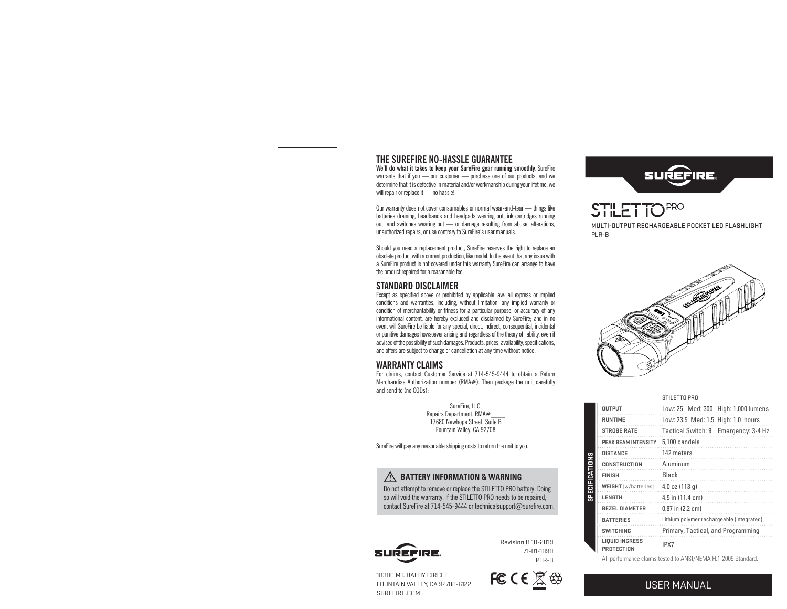# **THE SUREFIRE NO-HASSLE GUARANTEE**

**We'll do what it takes to keep your SureFire gear running smoothly.** SureFire warrants that if you — our customer — purchase one of our products, and we determine that it is defective in material and/or workmanship during your lifetime, we will repair or replace it — no hassle!

Our warranty does not cover consumables or normal wear-and-tear — things like batteries draining, headbands and headpads wearing out, ink cartridges running out, and switches wearing out — or damage resulting from abuse, alterations, unauthorized repairs, or use contrary to SureFire's user manuals.

Should you need a replacement product, SureFire reserves the right to replace an obsolete product with a current production, like model. In the event that any issue with a SureFire product is not covered under this warranty SureFire can arrange to have the product repaired for a reasonable fee.

# **STANDARD DISCLAIMER**

Except as specified above or prohibited by applicable law: all express or implied conditions and warranties, including, without limitation, any implied warranty or condition of merchantability or fitness for a particular purpose, or accuracy of any informational content, are hereby excluded and disclaimed by SureFire; and in no event will SureFire be liable for any special, direct, indirect, consequential, incidental or punitive damages howsoever arising and regardless of the theory of liability, even if advised of the possibility of such damages. Products, prices, availability, specifications, and offers are subject to change or cancellation at any time without notice.

# **WARRANTY CLAIMS**

For claims, contact Customer Service at 714-545-9444 to obtain a Return Merchandise Authorization number (RMA#). Then package the unit carefully and send to (no CODs):

> SureFire, LLC. Repairs Department, RMA# 17680 Newhope Street, Suite B Fountain Valley, CA 92708

SureFire will pay any reasonable shipping costs to return the unit to you.

# **BATTERY INFORMATION & WARNING**

Do not attempt to remove or replace the STILETTO PRO battery. Doing so will void the warranty. If the STILETTO PRO needs to be repaired, contact SureFire at 714-545-9444 or technicalsupport@surefire.com.



71-01-1090 PLR-B



**STILETTOPRO** MULTI-OUTPUT RECHARGEABLE POCKET LED FLASHLIGHT PLR-B



| STILETTO PRO                              |  |
|-------------------------------------------|--|
| Low: 25 Med: 300 High: 1,000 lumens       |  |
| Low: 23.5 Med: 1.5 High: 1.0 hours        |  |
| Tactical Switch: 9 Emergency: 3-4 Hz      |  |
| 5.100 candela                             |  |
| 142 meters                                |  |
| Aluminum                                  |  |
| <b>Black</b>                              |  |
| 4.0 oz $(113 g)$                          |  |
| 4.5 in (11.4 cm)                          |  |
| $0.87$ in $(2.2$ cm)                      |  |
| Lithium polymer rechargeable (integrated) |  |
| Primary, Tactical, and Programming        |  |
| IPX7                                      |  |
|                                           |  |

All performance claims tested to ANSI/NEMA FL1-2009 Standard.

18300 MT. BALDY CIRCLE FOUNTAIN VALLEY, CA 92708-6122 SUREFIRE.COM

SUREFIRE.



**SPECIFICATIONS**

SPECIFICATIONS